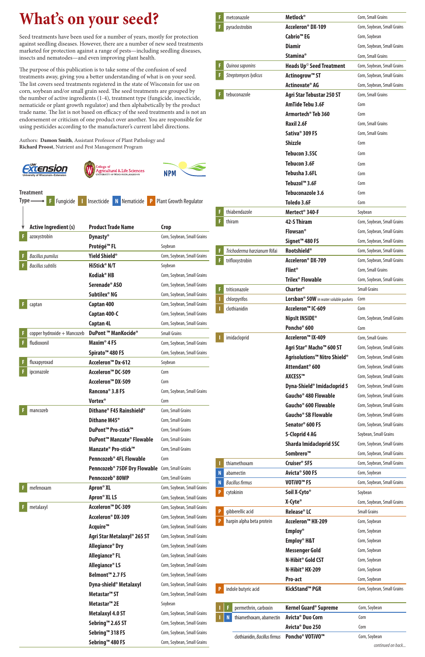## **What's on your seed?**

Seed treatments have been used for a number of years, mostly for protection against seedling diseases. However, there are a number of new seed treatments marketed for protection against a range of pests—including seedling diseases, insects and nematodes—and even improving plant health.

The purpose of this publication is to take some of the confusion of seed treatments away, giving you a better understanding of what is on your seed. The list covers seed treatments registered in the state of Wisconsin for use on corn, soybean and/or small grain seed. The seed treatments are grouped by the number of active ingredients (1-4), treatment type (fungicide, insecticide, nematicide or plant growth regulator) and then alphabetically by the product trade name. The list is not based on efficacy of the seed treatments and is not an endorsement or criticism of one product over another. You are responsible for using pesticides according to the manufacturer's current label directions.

Authors: **Damon Smith**, Assistant Professor of Plant Pathology and **Richard Proost**, Nutrient and Pest Management Program

| F | metconazole                 | <b>Metlock</b> <sup>®</sup>                          | Corn, Small Grains          |
|---|-----------------------------|------------------------------------------------------|-----------------------------|
| F | pyraclostrobin              | Acceleron <sup>®</sup> DX-109                        | Corn, Soybean, Small Grains |
|   |                             | Cabrio <sup>™</sup> EG                               | Corn, Soybean               |
|   |                             | <b>Diamir</b>                                        | Corn, Soybean, Small Grains |
|   |                             | <b>Stamina®</b>                                      | Corn, Small Grains          |
| F | Quinoa saponins             | Heads Up <sup>©</sup> Seed Treatment                 | Corn, Soybean, Small Grains |
| F | Streptomyces lydicus        | Actinogrow <sup>™</sup> ST                           | Corn, Soybean, Small Grains |
|   |                             | Actinovate® AG                                       | Corn, Soybean, Small Grains |
| F | tebuconazole                | <b>Agri Star Tebustar 250 ST</b>                     | Corn, Small Grains          |
|   |                             | <b>AmTide Tebu 3.6F</b>                              | Corn                        |
|   |                             | Armortech <sup>®</sup> Teb 360                       | Corn                        |
|   |                             | <b>Raxil 2.6F</b>                                    | Corn, Small Grains          |
|   |                             | Sativa <sup>®</sup> 309 FS                           | Corn, Small Grains          |
|   |                             | <b>Shizzle</b>                                       | Corn                        |
|   |                             | <b>Tebucon 3.5SC</b>                                 | Corn                        |
|   |                             | <b>Tebucon 3.6F</b>                                  | Corn                        |
|   |                             | <b>Tebusha 3.6FL</b>                                 | Corn                        |
|   |                             | Tebuzol <sup>™</sup> 3.6F                            | Corn                        |
|   |                             | Tebuconazole 3.6                                     | Corn                        |
|   |                             | Toledo 3.6F                                          | Corn                        |
| F | thiabendazole               | Mertect <sup>®</sup> 340-F                           | Soybean                     |
| F | thiram                      | <b>42-S Thiram</b>                                   | Corn, Soybean, Small Grains |
|   |                             | <b>Flowsan®</b>                                      | Corn, Soybean, Small Grains |
|   |                             | Signet <sup>™</sup> 480 FS                           | Corn, Soybean, Small Grains |
| F | Trichoderma harzianum Rifai | <b>Rootshield®</b>                                   | Corn, Soybean, Small Grains |
| F | trifloxystrobin             | Acceleron <sup>®</sup> DX-709                        | Corn, Soybean, Small Grains |
|   |                             | $F$ lint <sup>®</sup>                                | Corn, Small Grains          |
|   |                             | <b>Trilex<sup>®</sup> Flowable</b>                   | Corn, Soybean, Small Grains |
| F | triticonazole               | Charter <sup>®</sup>                                 | <b>Small Grains</b>         |
|   | chlorpyrifos                | Lorsban <sup>®</sup> 50W in water soluble packets    | Corn                        |
|   | clothianidin                | Acceleron™ IC-609                                    | Corn                        |
|   |                             | NipsIt INSIDE <sup>®</sup>                           | Corn, Soybean, Small Grains |
|   |                             | Poncho <sup>®</sup> 600                              | Corn                        |
|   | imidacloprid                | Acceleron™ IX-409                                    | Corn, Small Grains          |
|   |                             | Agri Star <sup>®</sup> Macho <sup>™</sup> 600 ST     | Corn, Soybean, Small Grains |
|   |                             | Agrisolutions <sup>™</sup> Nitro Shield <sup>®</sup> | Corn, Soybean, Small Grains |
|   |                             | Attendant <sup>®</sup> 600                           | Corn, Soybean, Small Grains |
|   |                             | <b>AXCESS™</b>                                       | Corn, Soybean, Small Grains |
|   |                             | Dyna-Shield <sup>®</sup> Imidacloprid 5              | Corn, Soybean, Small Grains |
|   |                             | Gaucho <sup>®</sup> 480 Flowable                     | Corn, Soybean, Small Grains |
|   |                             | Gaucho <sup>®</sup> 600 Flowable                     | Corn, Soybean, Small Grains |
|   |                             | Gaucho <sup>®</sup> SB Flowable                      | Corn, Soybean, Small Grains |
|   |                             | Senator <sup>®</sup> 600 FS                          | Corn, Soybean, Small Grains |
|   |                             | <b>S-Cloprid 4 AG</b>                                | Soybean, Small Grains       |
|   |                             | <b>Sharda Imidacloprid 5SC</b>                       | Corn, Soybean, Small Grains |
|   |                             | Sombrero™                                            | Corn, Soybean, Small Grains |
|   | thiamethoxam                | Cruiser <sup>®</sup> 5FS                             | Corn, Soybean, Small Grains |
| N | abamectin                   | Avicta <sup>®</sup> 500 FS<br><b>THIAM FA</b>        | Corn, Soybean               |

|           |                                         |                             | <b>Bacillus firmus</b>                 | VOTIVO <sup>™</sup> FS                                       | Corn, Soybean, Small Grains |
|-----------|-----------------------------------------|-----------------------------|----------------------------------------|--------------------------------------------------------------|-----------------------------|
| mefenoxam | Apron <sup>®</sup> XL                   | Corn, Soybean, Small Grains | cytokinin                              | Soil X-Cyto <sup>®</sup>                                     | Soybean                     |
|           | Apron <sup>®</sup> XL LS                | Corn, Soybean, Small Grains |                                        |                                                              |                             |
| metalaxyl | Acceleron™ DC-309                       | Corn, Soybean, Small Grains |                                        | X-Cyte <sup>®</sup>                                          | Corn, Soybean, Small Grains |
|           | Acceleron <sup>®</sup> DX-309           | Corn, Soybean, Small Grains | qibberellic acid                       | Release <sup>®</sup> LC                                      | <b>Small Grains</b>         |
|           | Acquire <sup>™</sup>                    | Corn, Soybean, Small Grains | harpin alpha beta protein              | Acceleron™ HX-209                                            | Corn, Soybean               |
|           |                                         |                             |                                        | <b>Employ</b> <sup>®</sup>                                   | Corn, Soybean               |
|           | Agri Star Metalaxyl <sup>®</sup> 265 ST | Corn, Soybean, Small Grains |                                        | Employ <sup>®</sup> H&T                                      | Corn, Soybean               |
|           | Allegiance <sup>®</sup> Dry             | Corn, Soybean, Small Grains |                                        | <b>Messenger Gold</b>                                        | Corn, Soybean               |
|           | Allegiance <sup>®</sup> FL              | Corn, Soybean, Small Grains |                                        | N-Hibit <sup>®</sup> Gold CST<br>N-Hibit <sup>®</sup> HX-209 |                             |
|           | Allegiance <sup>®</sup> LS              | Corn, Soybean, Small Grains |                                        |                                                              | Corn, Soybean               |
|           | Belmont <sup>™</sup> 2.7 FS             | Corn, Soybean, Small Grains |                                        |                                                              | Corn, Soybean               |
|           |                                         |                             |                                        | Pro-act                                                      | Corn, Soybean               |
|           | Dyna-shield <sup>®</sup> Metalaxyl      | Corn, Soybean, Small Grains | indole butyric acid<br>Þ               | <b>KickStand™ PGR</b>                                        | Corn, Soybean, Small Grains |
|           | Metastar <sup>™</sup> ST                | Corn, Soybean, Small Grains |                                        |                                                              |                             |
|           | Metastar <sup>™</sup> 2E                | Soybean                     | permethrin, carboxin                   | Kernel Guard <sup>®</sup> Supreme                            | Corn, Soybean               |
|           | <b>Metalaxyl 4.0 ST</b>                 | Corn, Soybean, Small Grains |                                        |                                                              |                             |
|           | Sebring™ 2.65 ST                        | Corn, Soybean, Small Grains | $\mathbf N$<br>thiamethoxam, abamectin | Avicta <sup>®</sup> Duo Corn                                 | Corn                        |
|           |                                         |                             |                                        | Avicta <sup>®</sup> Duo 250                                  | Corn                        |
|           | Sebring™ 318 FS                         | Corn, Soybean, Small Grains | clothianidin, Bacillus firmus          | Poncho <sup>®</sup> VOTiVO <sup>™</sup>                      | Corn, Soybean               |
|           | Sebring™ 480 FS                         | Corn, Soybean, Small Grains |                                        |                                                              | continued on back           |





|  |  |  | <b>F</b> Fungicide   Insecticide   N Nematicide   P Plant Growth Regulator |
|--|--|--|----------------------------------------------------------------------------|

**Treatment** 

|    | <b>Active Ingredient (s)</b> | <b>Product Trade Name</b>                | <b>Crop</b>                 |
|----|------------------------------|------------------------------------------|-----------------------------|
| F  | azoxystrobin                 | <b>Dynasty®</b>                          | Corn, Soybean, Small Grains |
|    |                              | Protégé™ FL                              | Soybean                     |
| F  | <b>Bacillus pumilus</b>      | Yield Shield®                            | Corn, Soybean, Small Grains |
| F. | <b>Bacillus subtilis</b>     | HiStick <sup>®</sup> N/T                 | Soybean                     |
|    |                              | Kodiak <sup>®</sup> HB                   | Corn, Soybean, Small Grains |
|    |                              | Serenade <sup>®</sup> ASO                | Corn, Soybean, Small Grains |
|    |                              | Subtilex <sup>®</sup> NG                 | Corn, Soybean, Small Grains |
| F  | captan                       | Captan 400                               | Corn, Soybean, Small Grains |
|    |                              | Captan 400-C                             | Corn, Soybean, Small Grains |
|    |                              | <b>Captan 4L</b>                         | Corn, Soybean, Small Grains |
| F  | copper hydroxide + Mancozeb  | <b>DuPont ™ ManKocide®</b>               | <b>Small Grains</b>         |
| F  | fludioxonil                  | Maxim <sup>®</sup> 4 FS                  | Corn, Soybean, Small Grains |
|    |                              | Spirato <sup>™</sup> 480 FS              | Corn, Soybean, Small Grains |
| F  | fluxapyroxad                 | Acceleron <sup>™</sup> Dx-612            | Soybean                     |
| F  | ipconazole                   | Acceleron™ DC-509                        | Corn                        |
|    |                              | Acceleron™ DX-509                        | Corn                        |
|    |                              | Rancona <sup>®</sup> 3.8 FS              | Corn, Soybean, Small Grains |
|    |                              | <b>Vortex<sup>®</sup></b>                | Corn                        |
| F  | mancozeb                     | Dithane® F45 Rainshield®                 | Corn, Small Grains          |
|    |                              | Dithane M45 <sup>®</sup>                 | Corn, Small Grains          |
|    |                              | DuPont <sup>™</sup> Pro-stick™           | Corn, Small Grains          |
|    |                              | DuPont™ Manzate® Flowable                | Corn, Small Grains          |
|    |                              | Manzate® Pro-stick™                      | Corn, Small Grains          |
|    |                              | Penncozeb <sup>®</sup> 4FL Flowable      | Corn                        |
|    |                              | Penncozeb <sup>®</sup> 75DF Dry Flowable | Corn, Small Grains          |

**Penncozeb<sup>®</sup> 80WP** Corn, Small Grains